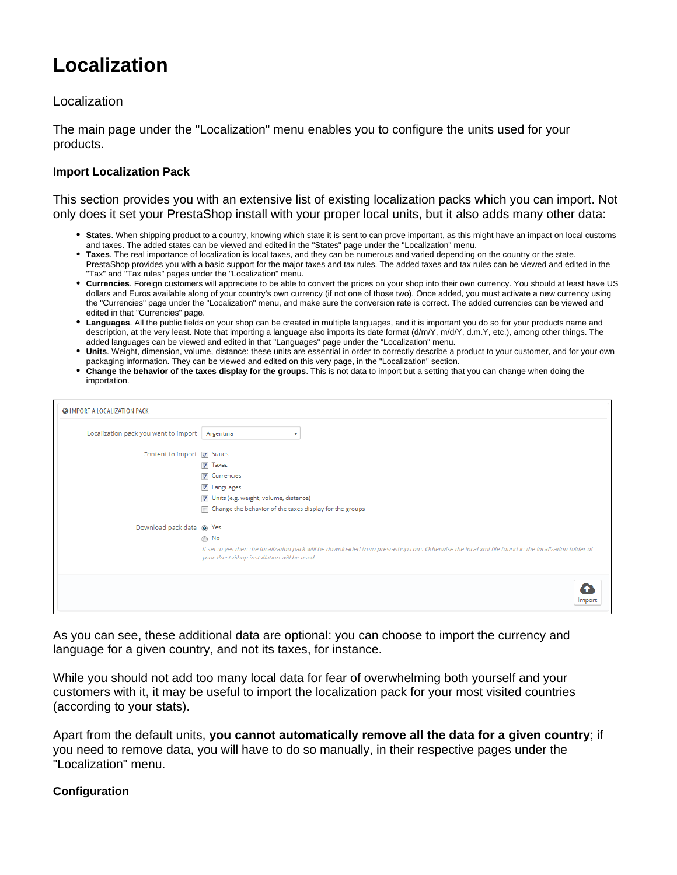# **Localization**

## Localization

The main page under the "Localization" menu enables you to configure the units used for your products.

## **Import Localization Pack**

This section provides you with an extensive list of existing localization packs which you can import. Not only does it set your PrestaShop install with your proper local units, but it also adds many other data:

- **States**. When shipping product to a country, knowing which state it is sent to can prove important, as this might have an impact on local customs and taxes. The added states can be viewed and edited in the "States" page under the "Localization" menu.
- **Taxes**. The real importance of localization is local taxes, and they can be numerous and varied depending on the country or the state. PrestaShop provides you with a basic support for the major taxes and tax rules. The added taxes and tax rules can be viewed and edited in the "Tax" and "Tax rules" pages under the "Localization" menu.
- **Currencies**. Foreign customers will appreciate to be able to convert the prices on your shop into their own currency. You should at least have US dollars and Euros available along of your country's own currency (if not one of those two). Once added, you must activate a new currency using the "Currencies" page under the "Localization" menu, and make sure the conversion rate is correct. The added currencies can be viewed and edited in that "Currencies" page.
- **Languages**. All the public fields on your shop can be created in multiple languages, and it is important you do so for your products name and description, at the very least. Note that importing a language also imports its date format (d/m/Y, m/d/Y, d.m.Y, etc.), among other things. The added languages can be viewed and edited in that "Languages" page under the "Localization" menu.
- **Units**. Weight, dimension, volume, distance: these units are essential in order to correctly describe a product to your customer, and for your own packaging information. They can be viewed and edited on this very page, in the "Localization" section.
- **Change the behavior of the taxes display for the groups**. This is not data to import but a setting that you can change when doing the importation.

| Localization pack you want to import | Argentina<br>ᢦ                                                                                                                                                                                  |
|--------------------------------------|-------------------------------------------------------------------------------------------------------------------------------------------------------------------------------------------------|
| Content to import V States           |                                                                                                                                                                                                 |
|                                      | $\nabla$ Taxes                                                                                                                                                                                  |
|                                      | $\overline{\mathbf{v}}$<br>Currencies                                                                                                                                                           |
|                                      | <b>V</b> Languages                                                                                                                                                                              |
|                                      | Units (e.g. weight, volume, distance)                                                                                                                                                           |
|                                      | Change the behavior of the taxes display for the groups<br>$\blacksquare$                                                                                                                       |
| Download pack data @ Yes             |                                                                                                                                                                                                 |
|                                      | $\odot$ No                                                                                                                                                                                      |
|                                      | If set to yes then the localization pack will be downloaded from prestashop.com. Otherwise the local xml file found in the localization folder of<br>your PrestaShop installation will be used. |
|                                      |                                                                                                                                                                                                 |

As you can see, these additional data are optional: you can choose to import the currency and language for a given country, and not its taxes, for instance.

While you should not add too many local data for fear of overwhelming both yourself and your customers with it, it may be useful to import the localization pack for your most visited countries (according to your stats).

Apart from the default units, **you cannot automatically remove all the data for a given country**; if you need to remove data, you will have to do so manually, in their respective pages under the "Localization" menu.

## **Configuration**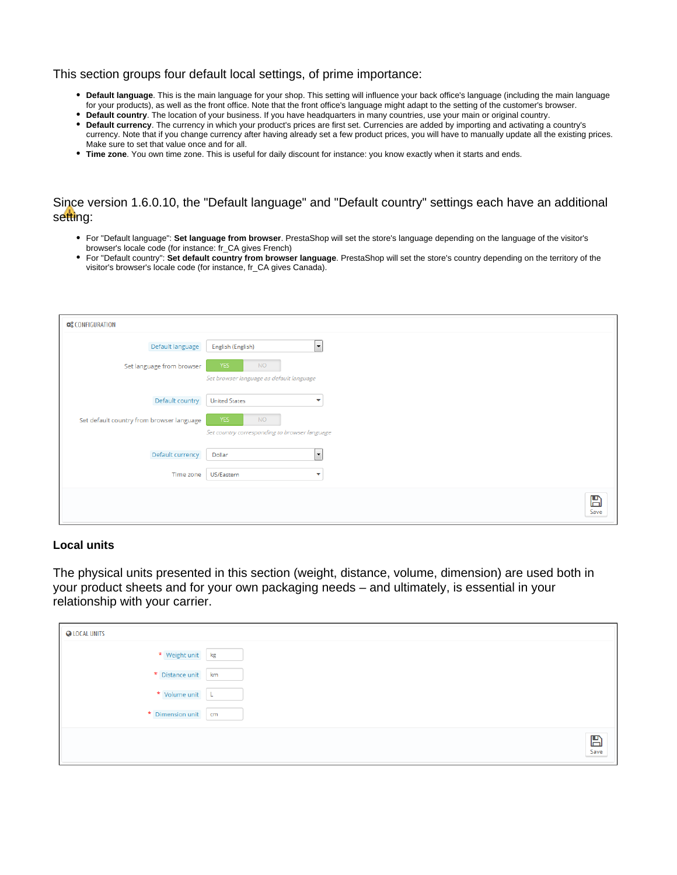#### This section groups four default local settings, of prime importance:

- **Default language**. This is the main language for your shop. This setting will influence your back office's language (including the main language for your products), as well as the front office. Note that the front office's language might adapt to the setting of the customer's browser.
- **Default country**. The location of your business. If you have headquarters in many countries, use your main or original country.
- **Default currency**. The currency in which your product's prices are first set. Currencies are added by importing and activating a country's currency. Note that if you change currency after having already set a few product prices, you will have to manually update all the existing prices. Make sure to set that value once and for all.
- **Time zone**. You own time zone. This is useful for daily discount for instance: you know exactly when it starts and ends.

# Since version 1.6.0.10, the "Default language" and "Default country" settings each have an additional setting:

- For "Default language": **Set language from browser**. PrestaShop will set the store's language depending on the language of the visitor's browser's locale code (for instance: fr\_CA gives French)
- For "Default country": **Set default country from browser language**. PrestaShop will set the store's country depending on the territory of the visitor's browser's locale code (for instance, fr\_CA gives Canada).

| <b>Q</b> CONFIGURATION                    |                                                                          |
|-------------------------------------------|--------------------------------------------------------------------------|
| Default language                          | $\overline{\phantom{a}}$<br>English (English)                            |
| Set language from browser                 | <b>NO</b><br><b>YES</b><br>Set browser language as default language      |
| Default country                           | <b>United States</b><br>▼                                                |
| Set default country from browser language | <b>YES</b><br><b>NO</b><br>Set country corresponding to browser language |
| Default currency                          | $\overline{\phantom{a}}$<br>Dollar                                       |
| Time zone                                 | US/Eastern<br>$\overline{\mathbf{v}}$                                    |
|                                           | $\mathbb{B}$<br>Save                                                     |

#### **Local units**

The physical units presented in this section (weight, distance, volume, dimension) are used both in your product sheets and for your own packaging needs – and ultimately, is essential in your relationship with your carrier.

| <b>Q</b> LOCAL UNITS |               |
|----------------------|---------------|
| * Weight unit kg     |               |
| * Distance unit      | km            |
| * Volume unit        | ч             |
| * Dimension unit     | cm            |
|                      | $\sum_{Save}$ |